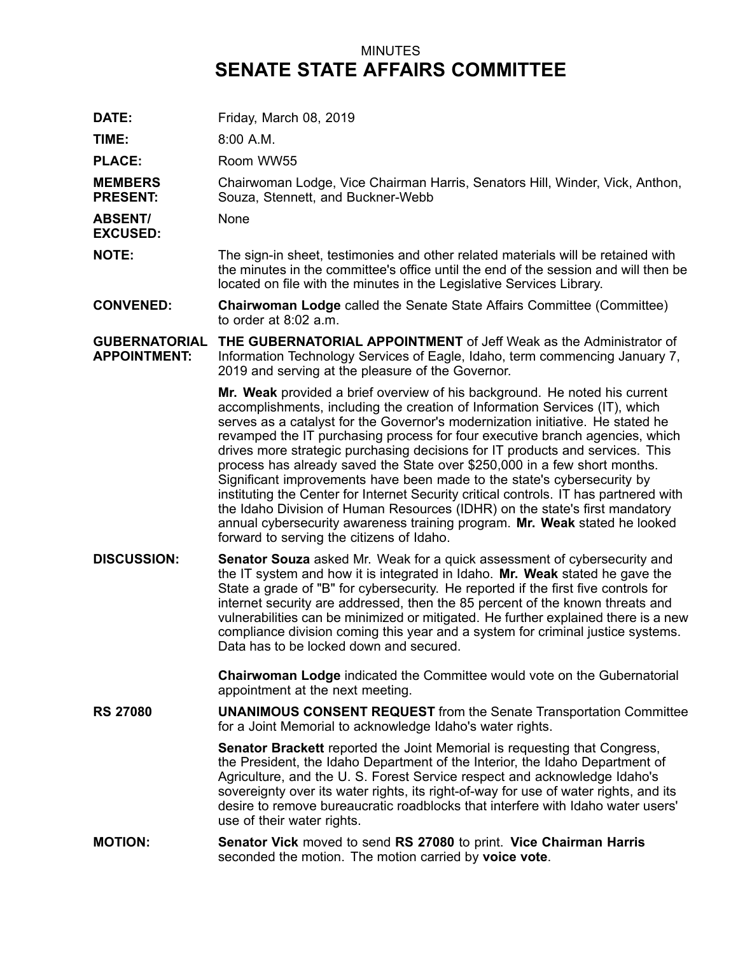## MINUTES **SENATE STATE AFFAIRS COMMITTEE**

| DATE:                                       | Friday, March 08, 2019                                                                                                                                                                                                                                                                                                                                                                                                                                                                                                                                                                                                                                                                                                                                                                                                                                                  |
|---------------------------------------------|-------------------------------------------------------------------------------------------------------------------------------------------------------------------------------------------------------------------------------------------------------------------------------------------------------------------------------------------------------------------------------------------------------------------------------------------------------------------------------------------------------------------------------------------------------------------------------------------------------------------------------------------------------------------------------------------------------------------------------------------------------------------------------------------------------------------------------------------------------------------------|
| TIME:                                       | 8:00 A.M.                                                                                                                                                                                                                                                                                                                                                                                                                                                                                                                                                                                                                                                                                                                                                                                                                                                               |
| <b>PLACE:</b>                               | Room WW55                                                                                                                                                                                                                                                                                                                                                                                                                                                                                                                                                                                                                                                                                                                                                                                                                                                               |
| <b>MEMBERS</b><br><b>PRESENT:</b>           | Chairwoman Lodge, Vice Chairman Harris, Senators Hill, Winder, Vick, Anthon,<br>Souza, Stennett, and Buckner-Webb                                                                                                                                                                                                                                                                                                                                                                                                                                                                                                                                                                                                                                                                                                                                                       |
| <b>ABSENT/</b><br><b>EXCUSED:</b>           | None                                                                                                                                                                                                                                                                                                                                                                                                                                                                                                                                                                                                                                                                                                                                                                                                                                                                    |
| <b>NOTE:</b>                                | The sign-in sheet, testimonies and other related materials will be retained with<br>the minutes in the committee's office until the end of the session and will then be<br>located on file with the minutes in the Legislative Services Library.                                                                                                                                                                                                                                                                                                                                                                                                                                                                                                                                                                                                                        |
| <b>CONVENED:</b>                            | <b>Chairwoman Lodge called the Senate State Affairs Committee (Committee)</b><br>to order at $8:02$ a.m.                                                                                                                                                                                                                                                                                                                                                                                                                                                                                                                                                                                                                                                                                                                                                                |
| <b>GUBERNATORIAL</b><br><b>APPOINTMENT:</b> | THE GUBERNATORIAL APPOINTMENT of Jeff Weak as the Administrator of<br>Information Technology Services of Eagle, Idaho, term commencing January 7,<br>2019 and serving at the pleasure of the Governor.                                                                                                                                                                                                                                                                                                                                                                                                                                                                                                                                                                                                                                                                  |
|                                             | Mr. Weak provided a brief overview of his background. He noted his current<br>accomplishments, including the creation of Information Services (IT), which<br>serves as a catalyst for the Governor's modernization initiative. He stated he<br>revamped the IT purchasing process for four executive branch agencies, which<br>drives more strategic purchasing decisions for IT products and services. This<br>process has already saved the State over \$250,000 in a few short months.<br>Significant improvements have been made to the state's cybersecurity by<br>instituting the Center for Internet Security critical controls. IT has partnered with<br>the Idaho Division of Human Resources (IDHR) on the state's first mandatory<br>annual cybersecurity awareness training program. Mr. Weak stated he looked<br>forward to serving the citizens of Idaho. |
| <b>DISCUSSION:</b>                          | <b>Senator Souza</b> asked Mr. Weak for a quick assessment of cybersecurity and<br>the IT system and how it is integrated in Idaho. Mr. Weak stated he gave the<br>State a grade of "B" for cybersecurity. He reported if the first five controls for<br>internet security are addressed, then the 85 percent of the known threats and<br>vulnerabilities can be minimized or mitigated. He further explained there is a new<br>compliance division coming this year and a system for criminal justice systems.<br>Data has to be locked down and secured.                                                                                                                                                                                                                                                                                                              |
|                                             | Chairwoman Lodge indicated the Committee would vote on the Gubernatorial<br>appointment at the next meeting.                                                                                                                                                                                                                                                                                                                                                                                                                                                                                                                                                                                                                                                                                                                                                            |
| <b>RS 27080</b>                             | <b>UNANIMOUS CONSENT REQUEST</b> from the Senate Transportation Committee<br>for a Joint Memorial to acknowledge Idaho's water rights.                                                                                                                                                                                                                                                                                                                                                                                                                                                                                                                                                                                                                                                                                                                                  |
|                                             | <b>Senator Brackett</b> reported the Joint Memorial is requesting that Congress,<br>the President, the Idaho Department of the Interior, the Idaho Department of<br>Agriculture, and the U. S. Forest Service respect and acknowledge Idaho's<br>sovereignty over its water rights, its right-of-way for use of water rights, and its<br>desire to remove bureaucratic roadblocks that interfere with Idaho water users'<br>use of their water rights.                                                                                                                                                                                                                                                                                                                                                                                                                  |
| <b>MOTION:</b>                              | Senator Vick moved to send RS 27080 to print. Vice Chairman Harris<br>seconded the motion. The motion carried by voice vote.                                                                                                                                                                                                                                                                                                                                                                                                                                                                                                                                                                                                                                                                                                                                            |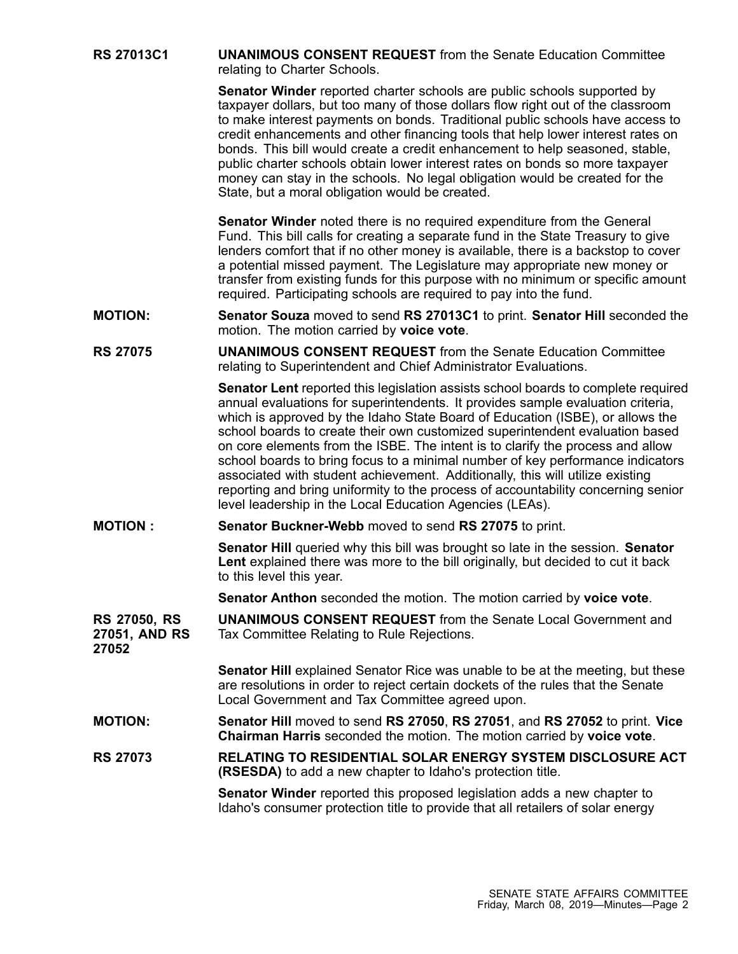**RS 27013C1 UNANIMOUS CONSENT REQUEST** from the Senate Education Committee relating to Charter Schools.

> **Senator Winder** reported charter schools are public schools supported by taxpayer dollars, but too many of those dollars flow right out of the classroom to make interest payments on bonds. Traditional public schools have access to credit enhancements and other financing tools that help lower interest rates on bonds. This bill would create <sup>a</sup> credit enhancement to help seasoned, stable, public charter schools obtain lower interest rates on bonds so more taxpayer money can stay in the schools. No legal obligation would be created for the State, but <sup>a</sup> moral obligation would be created.

**Senator Winder** noted there is no required expenditure from the General Fund. This bill calls for creating <sup>a</sup> separate fund in the State Treasury to give lenders comfort that if no other money is available, there is <sup>a</sup> backstop to cover <sup>a</sup> potential missed payment. The Legislature may appropriate new money or transfer from existing funds for this purpose with no minimum or specific amount required. Participating schools are required to pay into the fund.

- **MOTION: Senator Souza** moved to send **RS 27013C1** to print. **Senator Hill** seconded the motion. The motion carried by **voice vote**.
- **RS 27075 UNANIMOUS CONSENT REQUEST** from the Senate Education Committee relating to Superintendent and Chief Administrator Evaluations.

**Senator Lent** reported this legislation assists school boards to complete required annual evaluations for superintendents. It provides sample evaluation criteria, which is approved by the Idaho State Board of Education (ISBE), or allows the school boards to create their own customized superintendent evaluation based on core elements from the ISBE. The intent is to clarify the process and allow school boards to bring focus to <sup>a</sup> minimal number of key performance indicators associated with student achievement. Additionally, this will utilize existing reporting and bring uniformity to the process of accountability concerning senior level leadership in the Local Education Agencies (LEAs).

## **MOTION : Senator Buckner-Webb** moved to send **RS 27075** to print.

**Senator Hill** queried why this bill was brought so late in the session. **Senator Lent** explained there was more to the bill originally, but decided to cut it back to this level this year.

**Senator Anthon** seconded the motion. The motion carried by **voice vote**.

**RS 27050, RS 27051, AND RS 27052 UNANIMOUS CONSENT REQUEST** from the Senate Local Government and Tax Committee Relating to Rule Rejections.

> **Senator Hill** explained Senator Rice was unable to be at the meeting, but these are resolutions in order to reject certain dockets of the rules that the Senate Local Government and Tax Committee agreed upon.

**MOTION: Senator Hill** moved to send **RS 27050**, **RS 27051**, and **RS 27052** to print. **Vice Chairman Harris** seconded the motion. The motion carried by **voice vote**.

**RS 27073 RELATING TO RESIDENTIAL SOLAR ENERGY SYSTEM DISCLOSURE ACT (RSESDA)** to add <sup>a</sup> new chapter to Idaho's protection title.

> **Senator Winder** reported this proposed legislation adds <sup>a</sup> new chapter to Idaho's consumer protection title to provide that all retailers of solar energy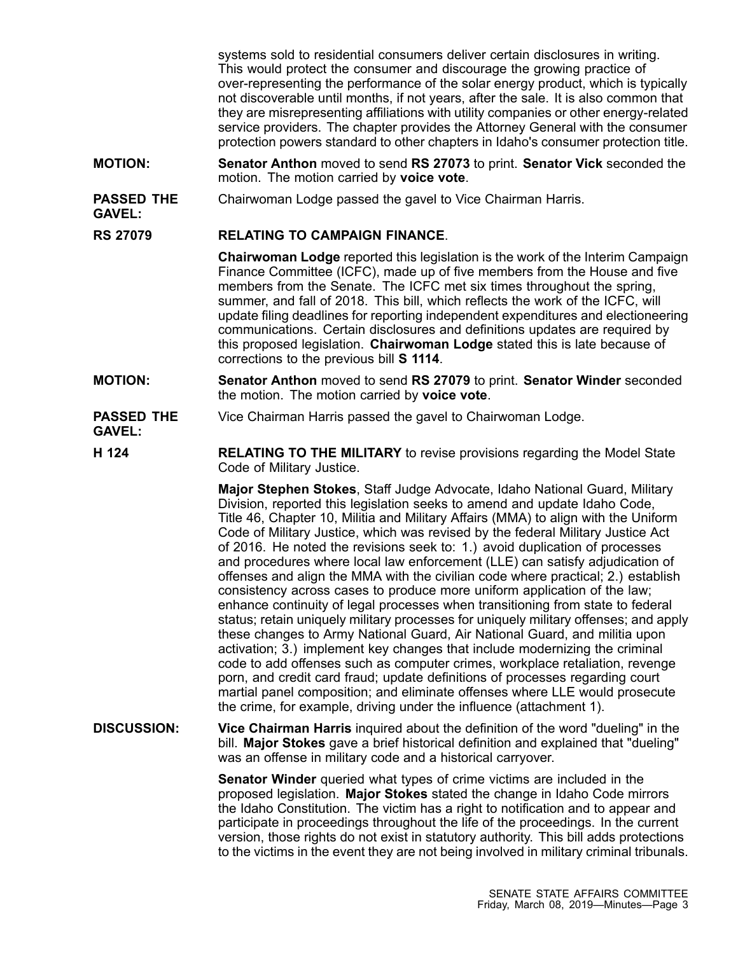systems sold to residential consumers deliver certain disclosures in writing. This would protect the consumer and discourage the growing practice of over-representing the performance of the solar energy product, which is typically not discoverable until months, if not years, after the sale. It is also common that they are misrepresenting affiliations with utility companies or other energy-related service providers. The chapter provides the Attorney General with the consumer protection powers standard to other chapters in Idaho's consumer protection title.

- **MOTION: Senator Anthon** moved to send **RS 27073** to print. **Senator Vick** seconded the motion. The motion carried by **voice vote**.
- **PASSED THE** Chairwoman Lodge passed the gavel to Vice Chairman Harris.

## **RS 27079 RELATING TO CAMPAIGN FINANCE**.

**Chairwoman Lodge** reported this legislation is the work of the Interim Campaign Finance Committee (ICFC), made up of five members from the House and five members from the Senate. The ICFC met six times throughout the spring, summer, and fall of 2018. This bill, which reflects the work of the ICFC, will update filing deadlines for reporting independent expenditures and electioneering communications. Certain disclosures and definitions updates are required by this proposed legislation. **Chairwoman Lodge** stated this is late because of corrections to the previous bill **S1114**.

**MOTION: Senator Anthon** moved to send **RS 27079** to print. **Senator Winder** seconded the motion. The motion carried by **voice vote**.

## **PASSED THE** Vice Chairman Harris passed the gavel to Chairwoman Lodge.

**GAVEL:**

**GAVEL:**

**H 124 RELATING TO THE MILITARY** to revise provisions regarding the Model State Code of Military Justice.

> **Major Stephen Stokes**, Staff Judge Advocate, Idaho National Guard, Military Division, reported this legislation seeks to amend and update Idaho Code, Title 46, Chapter 10, Militia and Military Affairs (MMA) to align with the Uniform Code of Military Justice, which was revised by the federal Military Justice Act of 2016. He noted the revisions seek to: 1.) avoid duplication of processes and procedures where local law enforcement (LLE) can satisfy adjudication of offenses and align the MMA with the civilian code where practical; 2.) establish consistency across cases to produce more uniform application of the law; enhance continuity of legal processes when transitioning from state to federal status; retain uniquely military processes for uniquely military offenses; and apply these changes to Army National Guard, Air National Guard, and militia upon activation; 3.) implement key changes that include modernizing the criminal code to add offenses such as computer crimes, workplace retaliation, revenge porn, and credit card fraud; update definitions of processes regarding court martial panel composition; and eliminate offenses where LLE would prosecute the crime, for example, driving under the influence (attachment 1).

**DISCUSSION: Vice Chairman Harris** inquired about the definition of the word "dueling" in the bill. **Major Stokes** gave <sup>a</sup> brief historical definition and explained that "dueling" was an offense in military code and <sup>a</sup> historical carryover.

> **Senator Winder** queried what types of crime victims are included in the proposed legislation. **Major Stokes** stated the change in Idaho Code mirrors the Idaho Constitution. The victim has <sup>a</sup> right to notification and to appear and participate in proceedings throughout the life of the proceedings. In the current version, those rights do not exist in statutory authority. This bill adds protections to the victims in the event they are not being involved in military criminal tribunals.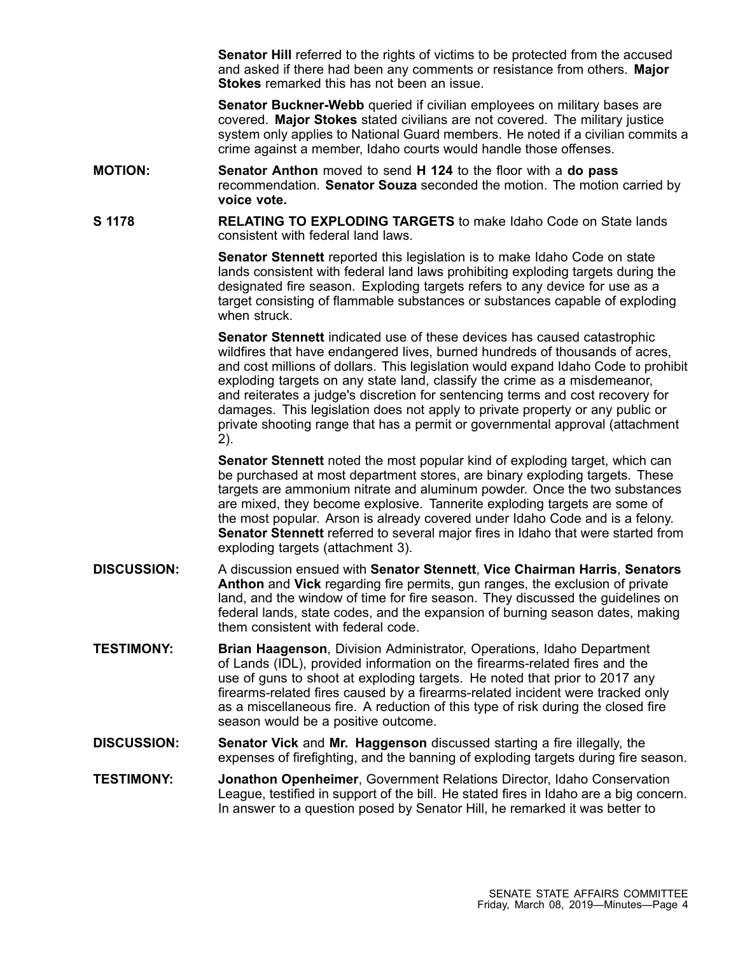**Senator Hill** referred to the rights of victims to be protected from the accused and asked if there had been any comments or resistance from others. **Major Stokes** remarked this has not been an issue.

**Senator Buckner-Webb** queried if civilian employees on military bases are covered. **Major Stokes** stated civilians are not covered. The military justice system only applies to National Guard members. He noted if <sup>a</sup> civilian commits <sup>a</sup> crime against <sup>a</sup> member, Idaho courts would handle those offenses.

- **MOTION: Senator Anthon** moved to send **H 124** to the floor with <sup>a</sup> **do pass** recommendation. **Senator Souza** seconded the motion. The motion carried by **voice vote.**
- **S 1178 RELATING TO EXPLODING TARGETS** to make Idaho Code on State lands consistent with federal land laws.

**Senator Stennett** reported this legislation is to make Idaho Code on state lands consistent with federal land laws prohibiting exploding targets during the designated fire season. Exploding targets refers to any device for use as <sup>a</sup> target consisting of flammable substances or substances capable of exploding when struck.

**Senator Stennett** indicated use of these devices has caused catastrophic wildfires that have endangered lives, burned hundreds of thousands of acres, and cost millions of dollars. This legislation would expand Idaho Code to prohibit exploding targets on any state land, classify the crime as <sup>a</sup> misdemeanor, and reiterates <sup>a</sup> judge's discretion for sentencing terms and cost recovery for damages. This legislation does not apply to private property or any public or private shooting range that has <sup>a</sup> permit or governmental approval (attachment 2).

**Senator Stennett** noted the most popular kind of exploding target, which can be purchased at most department stores, are binary exploding targets. These targets are ammonium nitrate and aluminum powder. Once the two substances are mixed, they become explosive. Tannerite exploding targets are some of the most popular. Arson is already covered under Idaho Code and is <sup>a</sup> felony. **Senator Stennett** referred to several major fires in Idaho that were started from exploding targets (attachment 3).

- **DISCUSSION:** A discussion ensued with **Senator Stennett**, **Vice Chairman Harris**, **Senators Anthon** and **Vick** regarding fire permits, gun ranges, the exclusion of private land, and the window of time for fire season. They discussed the guidelines on federal lands, state codes, and the expansion of burning season dates, making them consistent with federal code.
- **TESTIMONY: Brian Haagenson**, Division Administrator, Operations, Idaho Department of Lands (IDL), provided information on the firearms-related fires and the use of guns to shoot at exploding targets. He noted that prior to 2017 any firearms-related fires caused by <sup>a</sup> firearms-related incident were tracked only as <sup>a</sup> miscellaneous fire. A reduction of this type of risk during the closed fire season would be <sup>a</sup> positive outcome.
- **DISCUSSION: Senator Vick** and **Mr. Haggenson** discussed starting <sup>a</sup> fire illegally, the expenses of firefighting, and the banning of exploding targets during fire season.
- **TESTIMONY: Jonathon Openheimer**, Government Relations Director, Idaho Conservation League, testified in support of the bill. He stated fires in Idaho are <sup>a</sup> big concern. In answer to <sup>a</sup> question posed by Senator Hill, he remarked it was better to